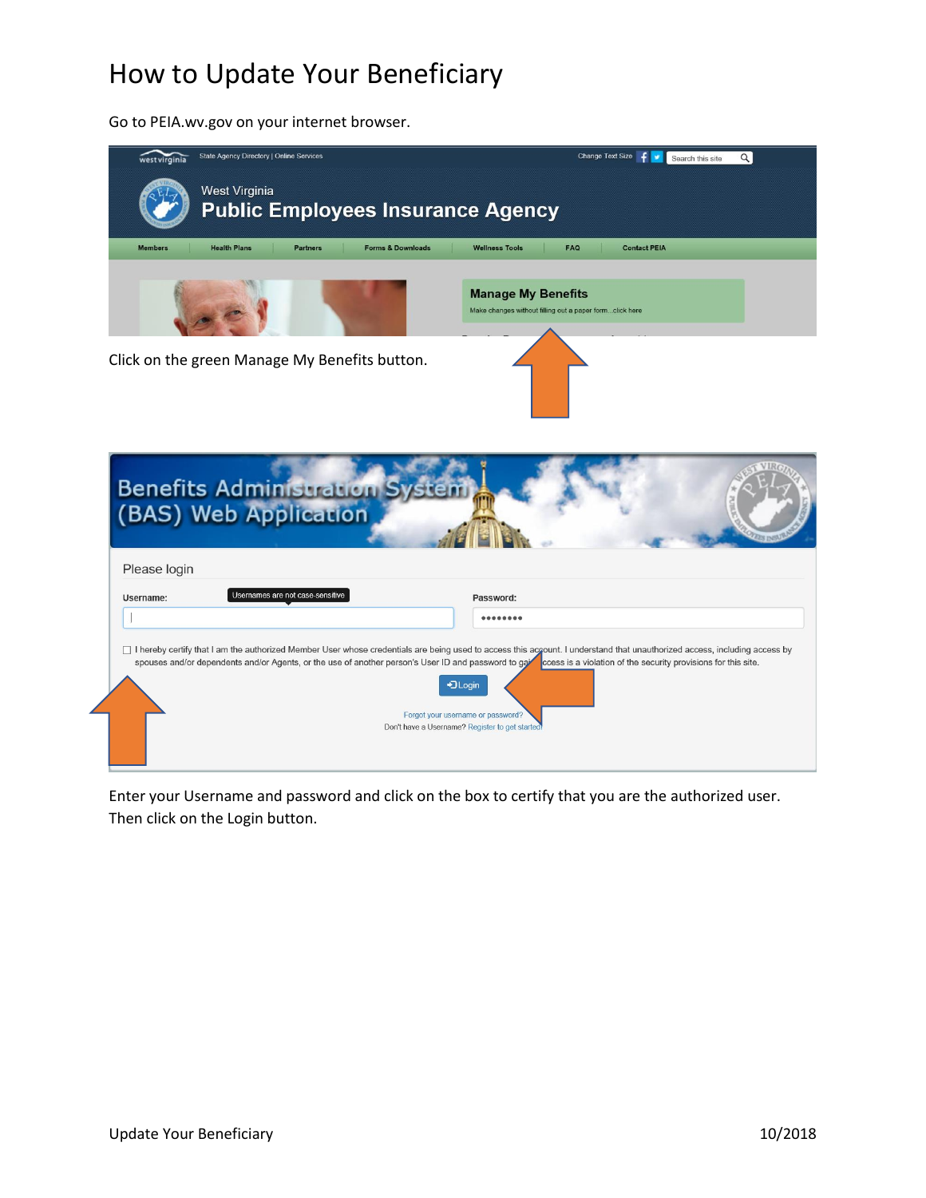Go to PEIA.wv.gov on your internet browser.



Enter your Username and password and click on the box to certify that you are the authorized user. Then click on the Login button.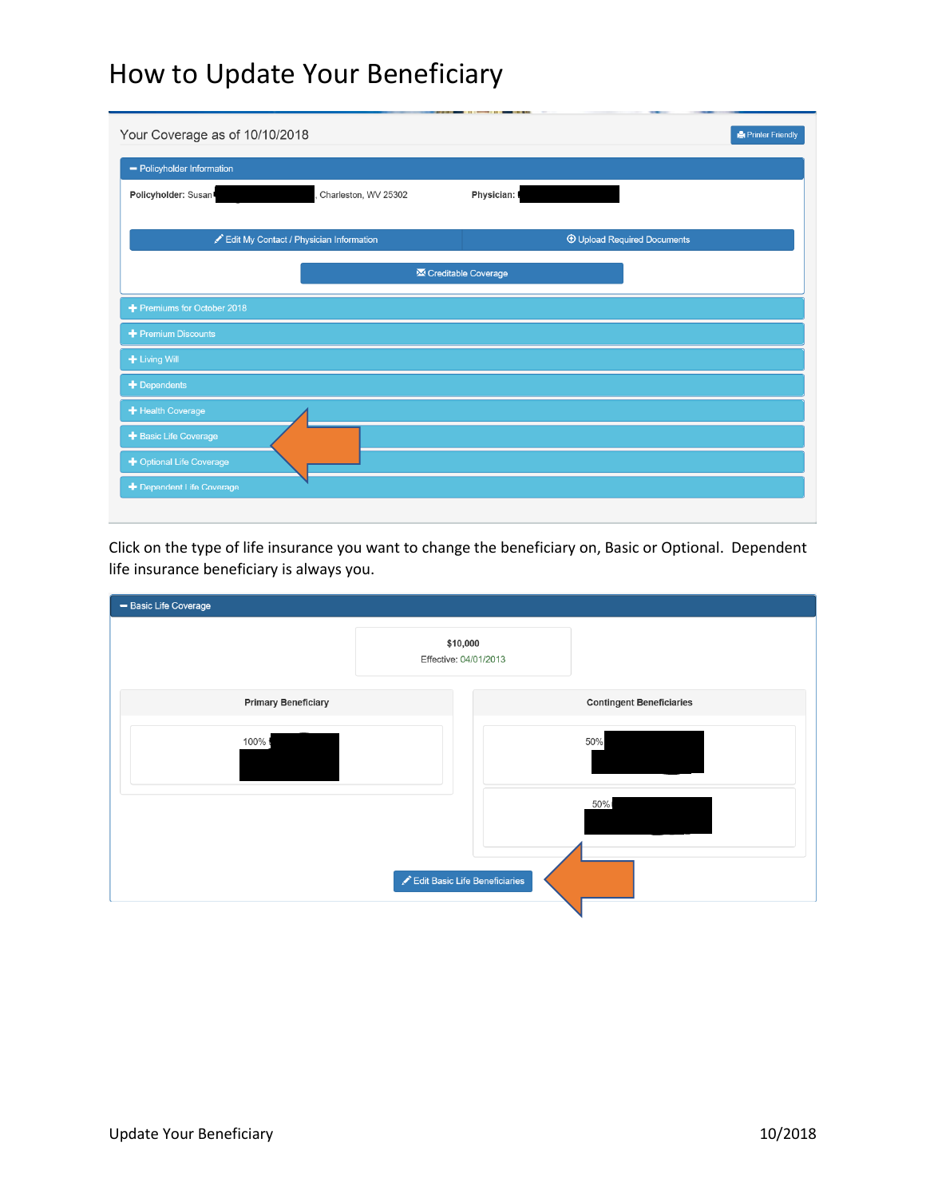| Your Coverage as of 10/10/2018          |                      | 33.17               | Printer Friendly                   |
|-----------------------------------------|----------------------|---------------------|------------------------------------|
| - Policyholder Information              |                      |                     |                                    |
| Policyholder: Susan!                    | Charleston, WV 25302 | Physician:          |                                    |
| Edit My Contact / Physician Information |                      |                     | <b>1</b> Upload Required Documents |
|                                         |                      | Creditable Coverage |                                    |
| Premiums for October 2018               |                      |                     |                                    |
| + Premium Discounts                     |                      |                     |                                    |
| + Living Will                           |                      |                     |                                    |
| $+$ Dependents                          |                      |                     |                                    |
| + Health Coverage                       |                      |                     |                                    |
| + Basic Life Coverage                   |                      |                     |                                    |
| + Optional Life Coverage                |                      |                     |                                    |
| + Dependent Life Coverage               |                      |                     |                                    |
|                                         |                      |                     |                                    |

Click on the type of life insurance you want to change the beneficiary on, Basic or Optional. Dependent life insurance beneficiary is always you.

| - Basic Life Coverage      |                                   |                                 |
|----------------------------|-----------------------------------|---------------------------------|
|                            | \$10,000<br>Effective: 04/01/2013 |                                 |
| <b>Primary Beneficiary</b> |                                   | <b>Contingent Beneficiaries</b> |
| 100% ł                     |                                   | 50%                             |
|                            |                                   | 50%                             |
|                            | Edit Basic Life Beneficiaries     |                                 |
|                            |                                   |                                 |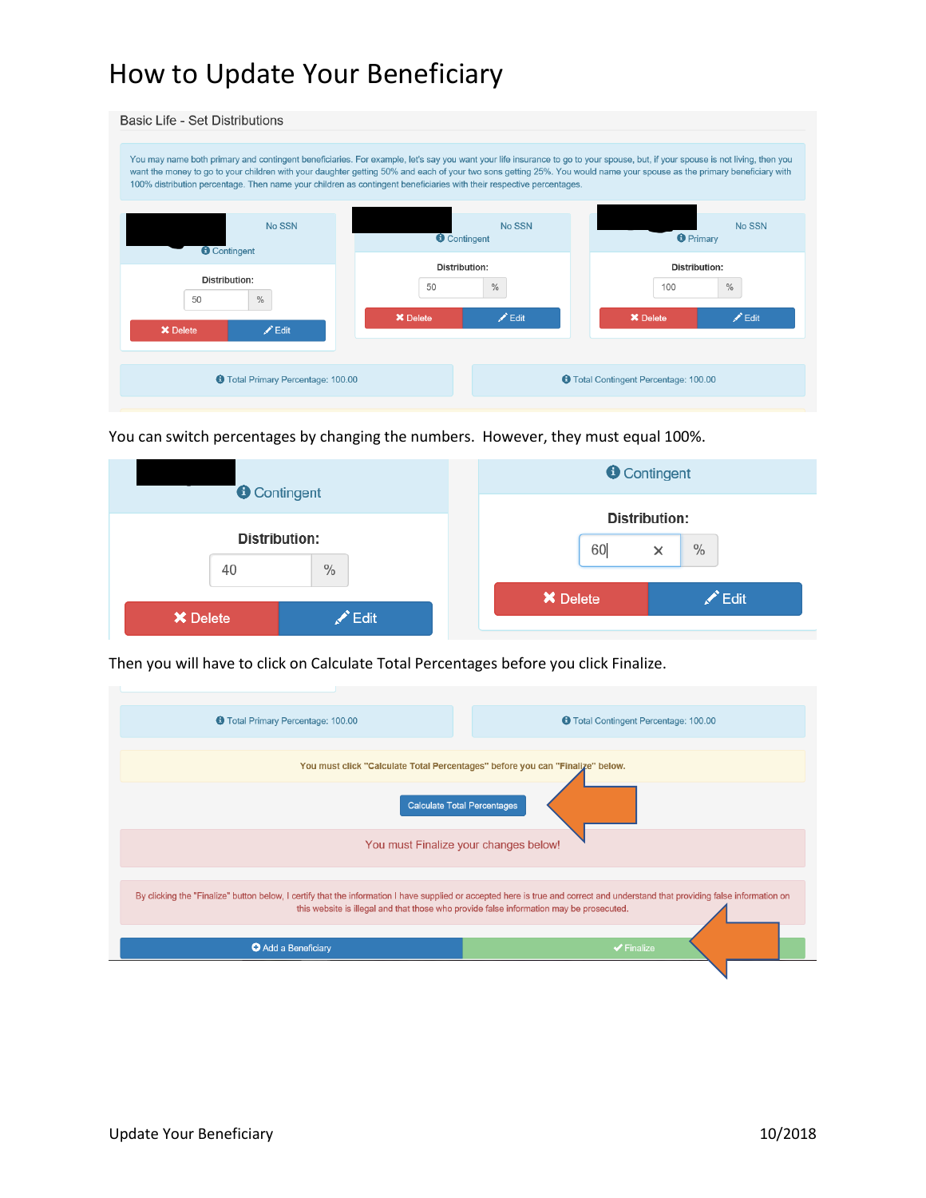| Basic Life - Set Distributions                          |                                                                                                                                                                                                                                                                                                                                                                                                                                                                                 |                                              |
|---------------------------------------------------------|---------------------------------------------------------------------------------------------------------------------------------------------------------------------------------------------------------------------------------------------------------------------------------------------------------------------------------------------------------------------------------------------------------------------------------------------------------------------------------|----------------------------------------------|
|                                                         | You may name both primary and contingent beneficiaries. For example, let's say you want your life insurance to go to your spouse, but, if your spouse is not living, then you<br>want the money to go to your children with your daughter getting 50% and each of your two sons getting 25%. You would name your spouse as the primary beneficiary with<br>100% distribution percentage. Then name your children as contingent beneficiaries with their respective percentages. |                                              |
| No SSN<br><b>O</b> Contingent                           | No SSN<br><b>O</b> Contingent                                                                                                                                                                                                                                                                                                                                                                                                                                                   | No SSN<br><b>O</b> Primary                   |
| <b>Distribution:</b>                                    | Distribution:<br>$\%$<br>50                                                                                                                                                                                                                                                                                                                                                                                                                                                     | Distribution:<br>$\%$<br>100                 |
| $\frac{0}{0}$<br>50<br>$\angle$ Edit<br><b>X</b> Delete | $\chi$ Edit<br><b>X</b> Delete                                                                                                                                                                                                                                                                                                                                                                                                                                                  | $\angle$ Edit<br><b>X</b> Delete             |
| <b>O</b> Total Primary Percentage: 100.00               |                                                                                                                                                                                                                                                                                                                                                                                                                                                                                 | <b>O</b> Total Contingent Percentage: 100.00 |

You can switch percentages by changing the numbers. However, they must equal 100%.

| <b>O</b> Contingent     | <b>O</b> Contingent                 |  |
|-------------------------|-------------------------------------|--|
| Distribution:           | <b>Distribution:</b>                |  |
| $\%$<br>40              | 60<br>$\%$<br>$\times$              |  |
| <b>X</b> Delete<br>Edit | $\triangle$ Edit<br><b>X</b> Delete |  |

Then you will have to click on Calculate Total Percentages before you click Finalize.

| <b>O</b> Total Primary Percentage: 100.00                                                                                                                                                                                                                                  | <b>O</b> Total Contingent Percentage: 100.00 |  |
|----------------------------------------------------------------------------------------------------------------------------------------------------------------------------------------------------------------------------------------------------------------------------|----------------------------------------------|--|
| You must click "Calculate Total Percentages" before you can "Finalize" below.<br><b>Calculate Total Percentages</b>                                                                                                                                                        |                                              |  |
| You must Finalize your changes below!                                                                                                                                                                                                                                      |                                              |  |
| By clicking the "Finalize" button below, I certify that the information I have supplied or accepted here is true and correct and understand that providing false information on<br>this website is illegal and that those who provide false information may be prosecuted. |                                              |  |
| <b>O</b> Add a Beneficiary                                                                                                                                                                                                                                                 | $\blacktriangleright$ Finalize               |  |